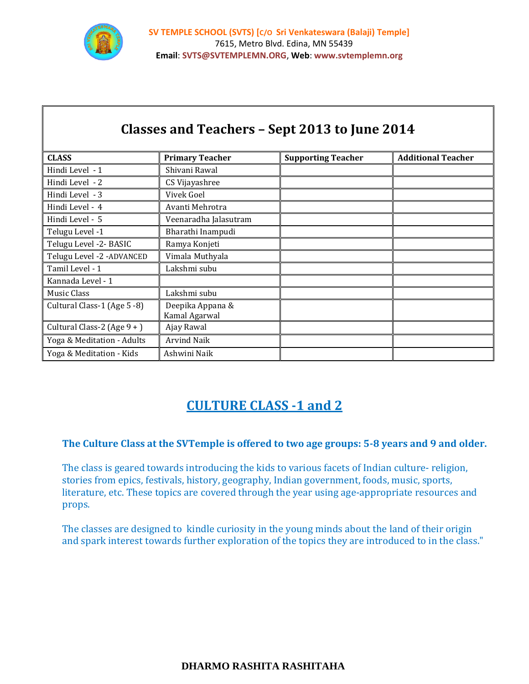

Г

| Classes and Teachers - Sept 2013 to June 2014 |                                   |                           |                           |
|-----------------------------------------------|-----------------------------------|---------------------------|---------------------------|
| <b>CLASS</b>                                  | <b>Primary Teacher</b>            | <b>Supporting Teacher</b> | <b>Additional Teacher</b> |
| Hindi Level - 1                               | Shivani Rawal                     |                           |                           |
| Hindi Level - 2                               | CS Vijayashree                    |                           |                           |
| Hindi Level - 3                               | Vivek Goel                        |                           |                           |
| Hindi Level - 4                               | Avanti Mehrotra                   |                           |                           |
| Hindi Level - 5                               | Veenaradha Jalasutram             |                           |                           |
| Telugu Level -1                               | Bharathi Inampudi                 |                           |                           |
| Telugu Level -2- BASIC                        | Ramya Konjeti                     |                           |                           |
| Telugu Level -2 -ADVANCED                     | Vimala Muthyala                   |                           |                           |
| Tamil Level - 1                               | Lakshmi subu                      |                           |                           |
| Kannada Level - 1                             |                                   |                           |                           |
| Music Class                                   | Lakshmi subu                      |                           |                           |
| Cultural Class-1 (Age 5 -8)                   | Deepika Appana &<br>Kamal Agarwal |                           |                           |
| Cultural Class-2 (Age $9 +$ )                 | Ajay Rawal                        |                           |                           |
| Yoga & Meditation - Adults                    | <b>Arvind Naik</b>                |                           |                           |
| Yoga & Meditation - Kids                      | Ashwini Naik                      |                           |                           |

### **CULTURE CLASS -1 and 2**

### **The Culture Class at the SVTemple is offered to two age groups: 5-8 years and 9 and older.**

The class is geared towards introducing the kids to various facets of Indian culture- religion, stories from epics, festivals, history, geography, Indian government, foods, music, sports, literature, etc. These topics are covered through the year using age-appropriate resources and props.

The classes are designed to kindle curiosity in the young minds about the land of their origin and spark interest towards further exploration of the topics they are introduced to in the class."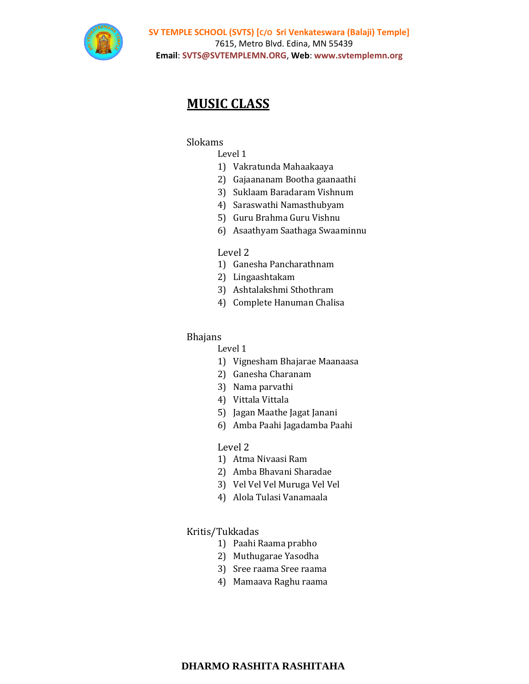

# **MUSIC CLASS**

#### Slokams

#### Level 1

- 1) Vakratunda Mahaakaaya
- 2) Gajaananam Bootha gaanaathi
- 3) Suklaam Baradaram Vishnum
- 4) Saraswathi Namasthubyam
- 5) Guru Brahma Guru Vishnu
- 6) Asaathyam Saathaga Swaaminnu

#### Level 2

- 1) Ganesha Pancharathnam
- 2) Lingaashtakam
- 3) Ashtalakshmi Sthothram
- 4) Complete Hanuman Chalisa

#### Bhajans

#### Level 1

- 1) Vignesham Bhajarae Maanaasa
- 2) Ganesha Charanam
- 3) Nama parvathi
- 4) Vittala Vittala
- 5) Jagan Maathe Jagat Janani
- 6) Amba Paahi Jagadamba Paahi

#### Level 2

- 1) Atma Nivaasi Ram
- 2) Amba Bhavani Sharadae
- 3) Vel Vel Vel Muruga Vel Vel
- 4) Alola Tulasi Vanamaala

#### Kritis/Tukkadas

- 1) Paahi Raama prabho
- 2) Muthugarae Yasodha
- 3) Sree raama Sree raama
- 4) Mamaava Raghu raama

#### **DHARMO RASHITA RASHITAHA**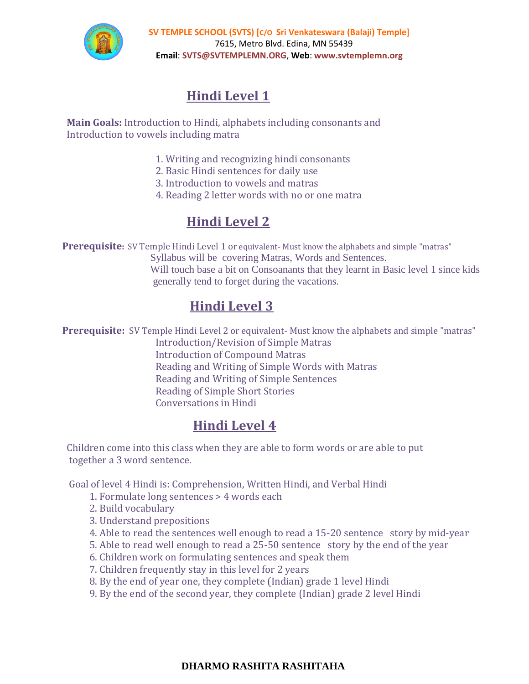

 **SV TEMPLE SCHOOL (SVTS) [C/O Sri Venkateswara (Balaji) Temple]** 7615, Metro Blvd. Edina, MN 55439 **Email**: **SVTS@SVTEMPLEMN.ORG**, **Web**: **www.svtemplemn.org**

# **Hindi Level 1**

 **Main Goals:** Introduction to Hindi, alphabets including consonants and Introduction to vowels including matra

- 1. Writing and recognizing hindi consonants
- 2. Basic Hindi sentences for daily use
- 3. Introduction to vowels and matras
- 4. Reading 2 letter words with no or one matra

# **Hindi Level 2**

**Prerequisite**: SV Temple Hindi Level 1 or equivalent-Must know the alphabets and simple "matras"

Syllabus will be covering Matras, Words and Sentences.

 Will touch base a bit on Consoanants that they learnt in Basic level 1 since kids generally tend to forget during the vacations.

# **Hindi Level 3**

**Prerequisite:** SV Temple Hindi Level 2 or equivalent- Must know the alphabets and simple "matras"

Introduction/Revision of Simple Matras Introduction of Compound Matras Reading and Writing of Simple Words with Matras Reading and Writing of Simple Sentences Reading of Simple Short Stories Conversations in Hindi

# **Hindi Level 4**

Children come into this class when they are able to form words or are able to put together a 3 word sentence.

Goal of level 4 Hindi is: Comprehension, Written Hindi, and Verbal Hindi

- 1. Formulate long sentences > 4 words each
- 2. Build vocabulary
- 3. Understand prepositions
- 4. Able to read the sentences well enough to read a 15-20 sentence story by mid-year
- 5. Able to read well enough to read a 25-50 sentence story by the end of the year
- 6. Children work on formulating sentences and speak them
- 7. Children frequently stay in this level for 2 years
- 8. By the end of year one, they complete (Indian) grade 1 level Hindi
- 9. By the end of the second year, they complete (Indian) grade 2 level Hindi

### **DHARMO RASHITA RASHITAHA**